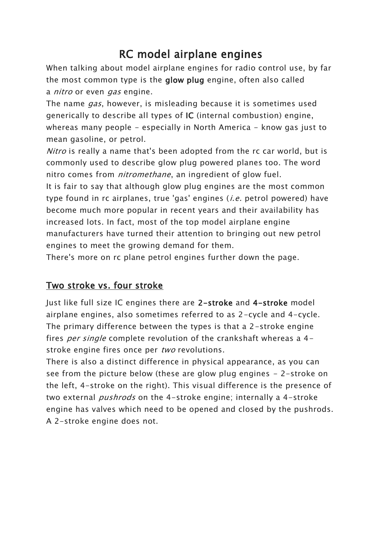# RC model airplane engines

When talking about model airplane engines for radio control use, by far the most common type is the glow plug engine, often also called a nitro or even gas engine.

The name *gas*, however, is misleading because it is sometimes used generically to describe all types of IC (internal combustion) engine, whereas many people - especially in North America - know gas just to mean gasoline, or petrol.

Nitro is really a name that's been adopted from the rc car world, but is commonly used to describe glow plug powered planes too. The word nitro comes from *nitromethane*, an ingredient of glow fuel.

It is fair to say that although glow plug engines are the most common type found in rc airplanes, true 'gas' engines (*i.e.* petrol powered) have become much more popular in recent years and their availability has increased lots. In fact, most of the top model airplane engine manufacturers have turned their attention to bringing out new petrol engines to meet the growing demand for them.

There's more on rc plane petrol engines further down the page.

# Two stroke vs. four stroke

Just like full size IC engines there are 2-stroke and 4-stroke model airplane engines, also sometimes referred to as 2-cycle and 4-cycle. The primary difference between the types is that a 2-stroke engine fires *per single* complete revolution of the crankshaft whereas a 4stroke engine fires once per two revolutions.

There is also a distinct difference in physical appearance, as you can see from the picture below (these are glow plug engines - 2-stroke on the left, 4-stroke on the right). This visual difference is the presence of two external *pushrods* on the 4-stroke engine; internally a 4-stroke engine has valves which need to be opened and closed by the pushrods. A 2-stroke engine does not.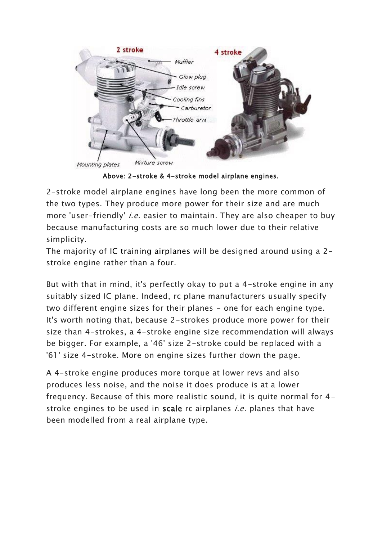

Above: 2-stroke & 4-stroke model airplane engines.

2-stroke model airplane engines have long been the more common of the two types. They produce more power for their size and are much more 'user-friendly' *i.e.* easier to maintain. They are also cheaper to buy because manufacturing costs are so much lower due to their relative simplicity.

The majority of IC training airplanes will be designed around using a 2 stroke engine rather than a four.

But with that in mind, it's perfectly okay to put a 4-stroke engine in any suitably sized IC plane. Indeed, rc plane manufacturers usually specify two different engine sizes for their planes - one for each engine type. It's worth noting that, because 2-strokes produce more power for their size than 4-strokes, a 4-stroke engine size recommendation will always be bigger. For example, a '46' size 2-stroke could be replaced with a '61' size 4-stroke. More on engine sizes further down the page.

A 4-stroke engine produces more torque at lower revs and also produces less noise, and the noise it does produce is at a lower frequency. Because of this more realistic sound, it is quite normal for 4 stroke engines to be used in scale rc airplanes *i.e.* planes that have been modelled from a real airplane type.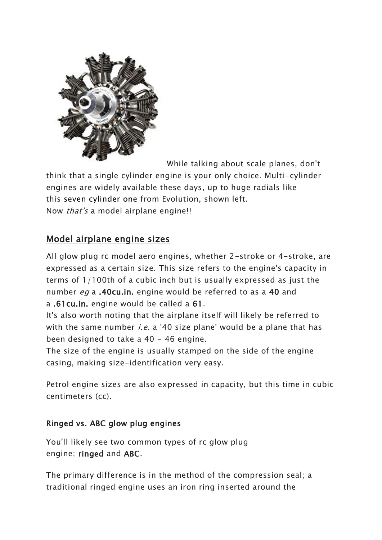

While talking about scale planes, don't

think that a single cylinder engine is your only choice. Multi-cylinder engines are widely available these days, up to huge radials like this seven cylinder one from Evolution, shown left. Now *that's* a model airplane engine!!

# Model airplane engine sizes

All glow plug rc model aero engines, whether 2-stroke or 4-stroke, are expressed as a certain size. This size refers to the engine's capacity in terms of 1/100th of a cubic inch but is usually expressed as just the number eg a .40cu.in. engine would be referred to as a 40 and a .61cu.in. engine would be called a 61.

It's also worth noting that the airplane itself will likely be referred to with the same number *i.e.* a '40 size plane' would be a plane that has been designed to take a 40 - 46 engine.

The size of the engine is usually stamped on the side of the engine casing, making size-identification very easy.

Petrol engine sizes are also expressed in capacity, but this time in cubic centimeters (cc).

## Ringed vs. ABC glow plug engines

You'll likely see two common types of rc glow plug engine; ringed and ABC.

The primary difference is in the method of the compression seal; a traditional ringed engine uses an iron ring inserted around the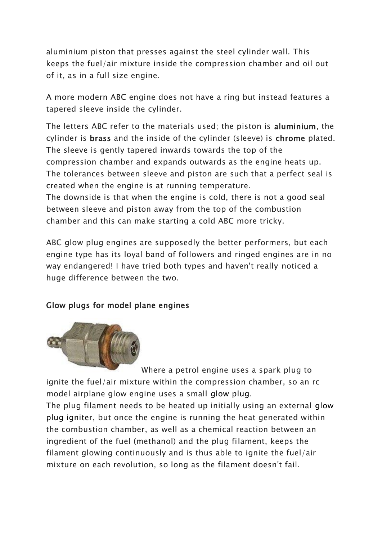aluminium piston that presses against the steel cylinder wall. This keeps the fuel/air mixture inside the compression chamber and oil out of it, as in a full size engine.

A more modern ABC engine does not have a ring but instead features a tapered sleeve inside the cylinder.

The letters ABC refer to the materials used; the piston is aluminium, the cylinder is brass and the inside of the cylinder (sleeve) is chrome plated. The sleeve is gently tapered inwards towards the top of the compression chamber and expands outwards as the engine heats up. The tolerances between sleeve and piston are such that a perfect seal is created when the engine is at running temperature.

The downside is that when the engine is cold, there is not a good seal between sleeve and piston away from the top of the combustion chamber and this can make starting a cold ABC more tricky.

ABC glow plug engines are supposedly the better performers, but each engine type has its loyal band of followers and ringed engines are in no way endangered! I have tried both types and haven't really noticed a huge difference between the two.

## Glow plugs for model plane engines



[W](https://www.amazon.com/gp/search?ie=UTF8&tag=rcairplanewor-20&linkCode=ur2&linkId=0fd5ebd92787bb8bab3b1c319c5cd46f&camp=1789&creative=9325&index=toys-and-games&keywords=rc%20plane%20glow%20plug)here a petrol engine uses a spark plug to ignite the fuel/air mixture within the compression chamber, so an rc model airplane glow engine uses a small glow plug.

The plug filament needs to be heated up initially using an external glow plug igniter, but once the engine is running the heat generated within the combustion chamber, as well as a chemical reaction between an ingredient of the fuel (methanol) and the plug filament, keeps the filament glowing continuously and is thus able to ignite the fuel/air mixture on each revolution, so long as the filament doesn't fail.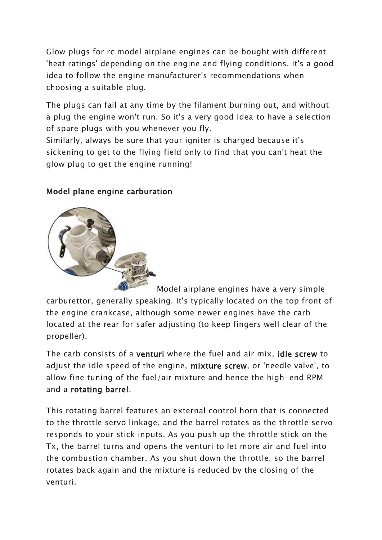Glow plugs for rc model airplane engines can be bought with different 'heat ratings' depending on the engine and flying conditions. It's a good idea to follow the engine manufacturer's recommendations when choosing a suitable plug.

The plugs can fail at any time by the filament burning out, and without a plug the engine won't run. So it's a very good idea to have a selection of spare plugs with you whenever you fly.

Similarly, always be sure that your igniter is charged because it's sickening to get to the flying field only to find that you can't heat the glow plug to get the engine running!

## Model plane engine carburation



Model airplane engines have a very simple carburettor, generally speaking. It's typically located on the top front of the engine crankcase, although some newer engines have the carb located at the rear for safer adjusting (to keep fingers well clear of the propeller).

The carb consists of a venturi where the fuel and air mix, idle screw to adjust the idle speed of the engine, mixture screw, or 'needle valve', to allow fine tuning of the fuel/air mixture and hence the high-end RPM and a rotating barrel.

This rotating barrel features an external control horn that is connected to the throttle servo linkage, and the barrel rotates as the throttle servo responds to your stick inputs. As you push up the throttle stick on the Tx, the barrel turns and opens the venturi to let more air and fuel into the combustion chamber. As you shut down the throttle, so the barrel rotates back again and the mixture is reduced by the closing of the venturi.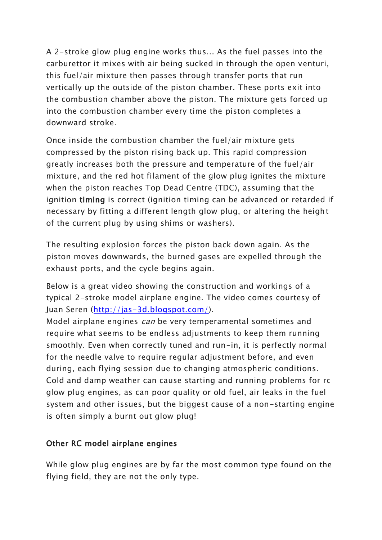A 2-stroke glow plug engine works thus... As the fuel passes into the carburettor it mixes with air being sucked in through the open venturi, this fuel/air mixture then passes through transfer ports that run vertically up the outside of the piston chamber. These ports exit into the combustion chamber above the piston. The mixture gets forced up into the combustion chamber every time the piston completes a downward stroke.

Once inside the combustion chamber the fuel/air mixture gets compressed by the piston rising back up. This rapid compression greatly increases both the pressure and temperature of the fuel/air mixture, and the red hot filament of the glow plug ignites the mixture when the piston reaches Top Dead Centre (TDC), assuming that the ignition timing is correct (ignition timing can be advanced or retarded if necessary by fitting a different length glow plug, or altering the height of the current plug by using shims or washers).

The resulting explosion forces the piston back down again. As the piston moves downwards, the burned gases are expelled through the exhaust ports, and the cycle begins again.

Below is a great video showing the construction and workings of a typical 2-stroke model airplane engine. The video comes courtesy of Juan Seren [\(http://jas-3d.blogspot.com/\)](http://jas-3d.blogspot.com/).

Model airplane engines *can* be very temperamental sometimes and require what seems to be endless adjustments to keep them running smoothly. Even when correctly tuned and run-in, it is perfectly normal for the needle valve to require regular adjustment before, and even during, each flying session due to changing atmospheric conditions. Cold and damp weather can cause starting and running problems for rc glow plug engines, as can poor quality or old fuel, air leaks in the fuel system and other issues, but the biggest cause of a non-starting engine is often simply a burnt out glow plug!

## Other RC model airplane engines

While glow plug engines are by far the most common type found on the flying field, they are not the only type.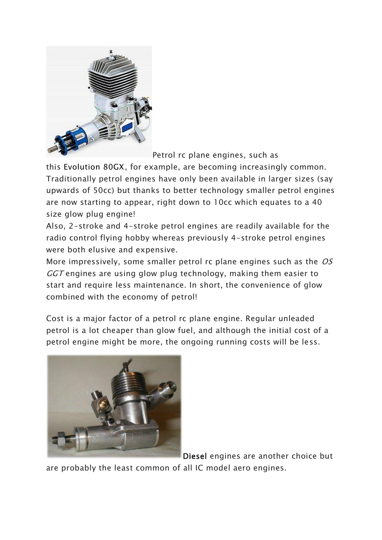

Petrol rc plane engines, such as

this Evolution 80GX, for example, are becoming increasingly common. Traditionally petrol engines have only been available in larger sizes (say upwards of 50cc) but thanks to better technology smaller petrol engines are now starting to appear, right down to 10cc which equates to a 40 size glow plug engine!

Also, 2-stroke and 4-stroke petrol engines are readily available for the radio control flying hobby whereas previously 4-stroke petrol engines were both elusive and expensive.

More impressively, some smaller petrol rc plane engines such as the OS GGT engines are using glow plug technology, making them easier to start and require less maintenance. In short, the convenience of glow combined with the economy of petrol!

Cost is a major factor of a petrol rc plane engine. Regular unleaded petrol is a lot cheaper than glow fuel, and although the initial cost of a petrol engine might be more, the ongoing running costs will be less.



Diesel engines are another choice but

are probably the least common of all IC model aero engines.